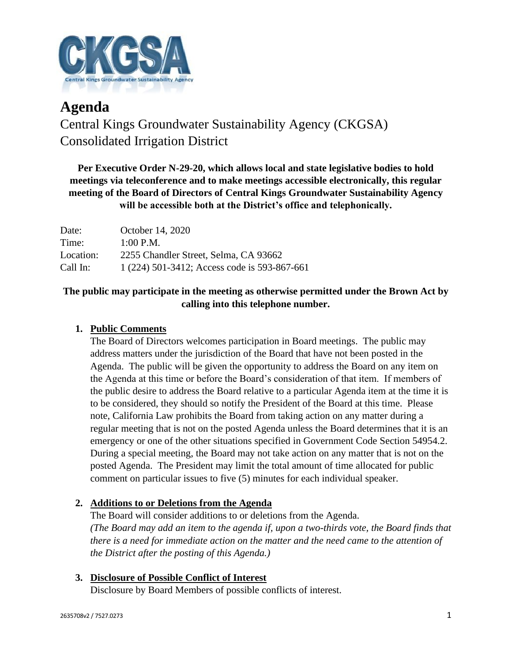

# **Agenda** Central Kings Groundwater Sustainability Agency (CKGSA) Consolidated Irrigation District

**Per Executive Order N-29-20, which allows local and state legislative bodies to hold meetings via teleconference and to make meetings accessible electronically, this regular meeting of the Board of Directors of Central Kings Groundwater Sustainability Agency will be accessible both at the District's office and telephonically.**

| Date:     | October 14, 2020                             |
|-----------|----------------------------------------------|
| Time:     | $1:00$ P.M.                                  |
| Location: | 2255 Chandler Street, Selma, CA 93662        |
| Call In:  | 1 (224) 501-3412; Access code is 593-867-661 |

## **The public may participate in the meeting as otherwise permitted under the Brown Act by calling into this telephone number.**

## **1. Public Comments**

The Board of Directors welcomes participation in Board meetings. The public may address matters under the jurisdiction of the Board that have not been posted in the Agenda. The public will be given the opportunity to address the Board on any item on the Agenda at this time or before the Board's consideration of that item. If members of the public desire to address the Board relative to a particular Agenda item at the time it is to be considered, they should so notify the President of the Board at this time. Please note, California Law prohibits the Board from taking action on any matter during a regular meeting that is not on the posted Agenda unless the Board determines that it is an emergency or one of the other situations specified in Government Code Section 54954.2. During a special meeting, the Board may not take action on any matter that is not on the posted Agenda. The President may limit the total amount of time allocated for public comment on particular issues to five (5) minutes for each individual speaker.

### **2. Additions to or Deletions from the Agenda**

The Board will consider additions to or deletions from the Agenda. *(The Board may add an item to the agenda if, upon a two-thirds vote, the Board finds that there is a need for immediate action on the matter and the need came to the attention of the District after the posting of this Agenda.)*

# **3. Disclosure of Possible Conflict of Interest**

Disclosure by Board Members of possible conflicts of interest.